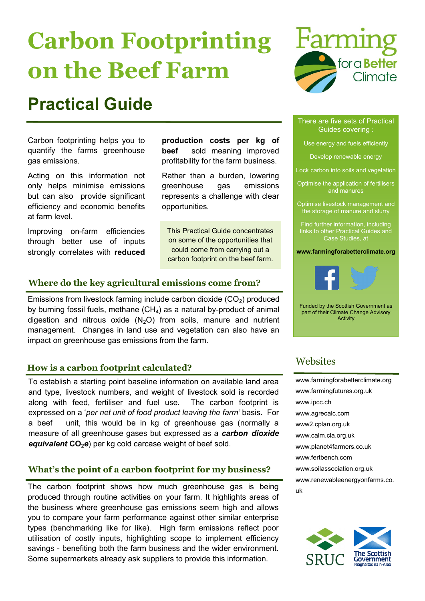# **Carbon Footprinting on the Beef Farm**

# **Practical Guide**

Carbon footprinting helps you to quantify the farms greenhouse gas emissions.

Acting on this information not only helps minimise emissions but can also provide significant efficiency and economic benefits at farm level.

Improving on-farm efficiencies through better use of inputs strongly correlates with **reduced**  **production costs per kg of beef** sold meaning improved profitability for the farm business.

Rather than a burden, lowering greenhouse gas emissions represents a challenge with clear opportunities.

This Practical Guide concentrates on some of the opportunities that could come from carrying out a carbon footprint on the beef farm.

### **Where do the key agricultural emissions come from?**

Emissions from livestock farming include carbon dioxide  $(CO<sub>2</sub>)$  produced by burning fossil fuels, methane  $(CH_4)$  as a natural by-product of animal digestion and nitrous oxide  $(N<sub>2</sub>O)$  from soils, manure and nutrient management. Changes in land use and vegetation can also have an impact on greenhouse gas emissions from the farm.

### **How is a carbon footprint calculated?**

To establish a starting point baseline information on available land area and type, livestock numbers, and weight of livestock sold is recorded along with feed, fertiliser and fuel use. The carbon footprint is expressed on a '*per net unit of food product leaving the farm'* basis. For a beef unit, this would be in kg of greenhouse gas (normally a measure of all greenhouse gases but expressed as a *carbon dioxide equivalent* **CO2***e*) per kg cold carcase weight of beef sold.

### **What's the point of a carbon footprint for my business?**

The carbon footprint shows how much greenhouse gas is being produced through routine activities on your farm. It highlights areas of the business where greenhouse gas emissions seem high and allows you to compare your farm performance against other similar enterprise types (benchmarking like for like). High farm emissions reflect poor utilisation of costly inputs, highlighting scope to implement efficiency savings - benefiting both the farm business and the wider environment. Some supermarkets already ask suppliers to provide this information.



#### There are five sets of Practical Guides covering :

Use energy and fuels efficiently

Develop renewable energy

Lock carbon into soils and vegetation

Optimise the application of fertilisers and manures

Optimise livestock management and the storage of manure and slurry

Find further information, including links to other Practical Guides and Case Studies, at

#### **www.farmingforabetterclimate.org**



Funded by the Scottish Government as part of their Climate Change Advisory Activity

### **Websites**

[www.farmingforabetterclimate.org](wwwfarmingforabetterclimate.org) [www.farmingfutures.org.uk](http://www.farmingfutures.org.uk) [www.ipcc.ch](http://www.ipcc.ch) [www.agrecalc.com](http://www.agrecalc.com) <www2.cplan.org.uk> [www.calm.cla.org.uk](http://www.calm.cla.org.uk) [www.planet4farmers.co.uk](http://www.planet4farmers.co.uk) [www.fertbench.com](http://www.fertbench.com) [www.soilassociation.org.uk](http://www.soilassociation.org.uk) [www.renewableenergyonfarms.co.](http://www.renewableenergyonfarms.co.uk) [uk](http://www.renewableenergyonfarms.co.uk)